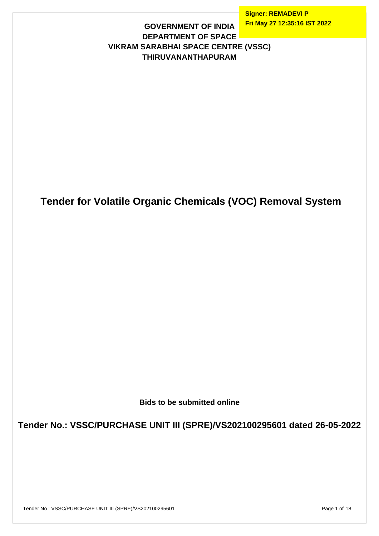**Signer: REMADEVI P Fri May 27 12:35:16 IST 2022**

#### **GOVERNMENT OF INDIA DEPARTMENT OF SPACE VIKRAM SARABHAI SPACE CENTRE (VSSC) THIRUVANANTHAPURAM**

# **Tender for Volatile Organic Chemicals (VOC) Removal System**

**Bids to be submitted online**

**Tender No.: VSSC/PURCHASE UNIT III (SPRE)/VS202100295601 dated 26-05-2022**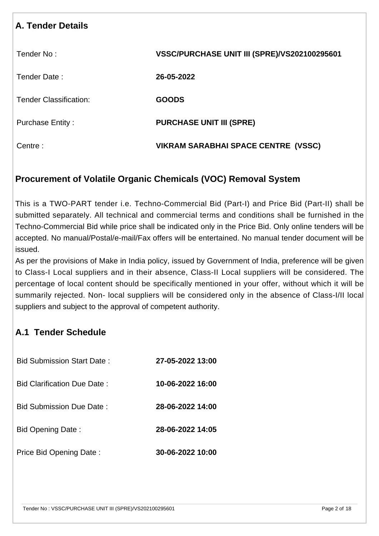# **A. Tender Details** Tender No : **VSSC/PURCHASE UNIT III (SPRE)/VS202100295601** Tender Date : **26-05-2022** Tender Classification: **GOODS** Purchase Entity : **PURCHASE UNIT III (SPRE)** Centre : **VIKRAM SARABHAI SPACE CENTRE (VSSC)**

## **Procurement of Volatile Organic Chemicals (VOC) Removal System**

This is a TWO-PART tender i.e. Techno-Commercial Bid (Part-I) and Price Bid (Part-II) shall be submitted separately. All technical and commercial terms and conditions shall be furnished in the Techno-Commercial Bid while price shall be indicated only in the Price Bid. Only online tenders will be accepted. No manual/Postal/e-mail/Fax offers will be entertained. No manual tender document will be issued.

As per the provisions of Make in India policy, issued by Government of India, preference will be given to Class-I Local suppliers and in their absence, Class-II Local suppliers will be considered. The percentage of local content should be specifically mentioned in your offer, without which it will be summarily rejected. Non- local suppliers will be considered only in the absence of Class-I/II local suppliers and subject to the approval of competent authority.

# **A.1 Tender Schedule**

| Bid Submission Start Date :       | 27-05-2022 13:00       |
|-----------------------------------|------------------------|
| Bid Clarification Due Date :      | 10-06-2022 16:00       |
| <u> Bid Submission Due Date :</u> | 28-06-2022 14:00       |
| Bid Opening Date:                 | 28-06-2022 14:05       |
| Price Bid Opening Date:           | $30 - 06 - 2022$ 10:00 |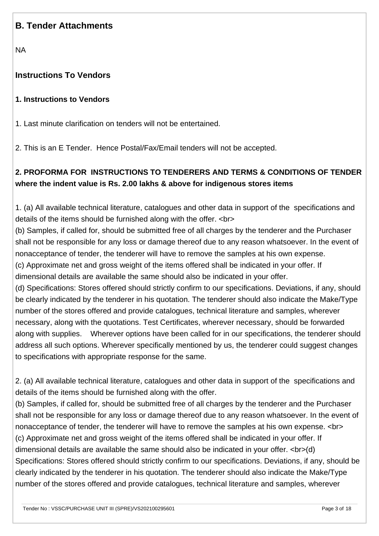## **B. Tender Attachments**

NA

#### **Instructions To Vendors**

#### **1. Instructions to Vendors**

1. Last minute clarification on tenders will not be entertained.

2. This is an E Tender. Hence Postal/Fax/Email tenders will not be accepted.

## **2. PROFORMA FOR INSTRUCTIONS TO TENDERERS AND TERMS & CONDITIONS OF TENDER where the indent value is Rs. 2.00 lakhs & above for indigenous stores items**

1. (a) All available technical literature, catalogues and other data in support of the specifications and details of the items should be furnished along with the offer. <br>

(b) Samples, if called for, should be submitted free of all charges by the tenderer and the Purchaser shall not be responsible for any loss or damage thereof due to any reason whatsoever. In the event of nonacceptance of tender, the tenderer will have to remove the samples at his own expense.

(c) Approximate net and gross weight of the items offered shall be indicated in your offer. If dimensional details are available the same should also be indicated in your offer.

(d) Specifications: Stores offered should strictly confirm to our specifications. Deviations, if any, should be clearly indicated by the tenderer in his quotation. The tenderer should also indicate the Make/Type number of the stores offered and provide catalogues, technical literature and samples, wherever necessary, along with the quotations. Test Certificates, wherever necessary, should be forwarded along with supplies. Wherever options have been called for in our specifications, the tenderer should address all such options. Wherever specifically mentioned by us, the tenderer could suggest changes to specifications with appropriate response for the same.

2. (a) All available technical literature, catalogues and other data in support of the specifications and details of the items should be furnished along with the offer.

(b) Samples, if called for, should be submitted free of all charges by the tenderer and the Purchaser shall not be responsible for any loss or damage thereof due to any reason whatsoever. In the event of nonacceptance of tender, the tenderer will have to remove the samples at his own expense. <br> (c) Approximate net and gross weight of the items offered shall be indicated in your offer. If dimensional details are available the same should also be indicated in your offer. <br>>br>(d) Specifications: Stores offered should strictly confirm to our specifications. Deviations, if any, should be clearly indicated by the tenderer in his quotation. The tenderer should also indicate the Make/Type number of the stores offered and provide catalogues, technical literature and samples, wherever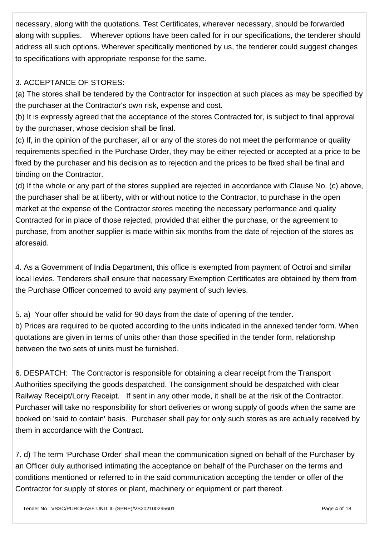necessary, along with the quotations. Test Certificates, wherever necessary, should be forwarded along with supplies. Wherever options have been called for in our specifications, the tenderer should address all such options. Wherever specifically mentioned by us, the tenderer could suggest changes to specifications with appropriate response for the same.

#### 3. ACCEPTANCE OF STORES:

(a) The stores shall be tendered by the Contractor for inspection at such places as may be specified by the purchaser at the Contractor's own risk, expense and cost.

(b) It is expressly agreed that the acceptance of the stores Contracted for, is subject to final approval by the purchaser, whose decision shall be final.

(c) If, in the opinion of the purchaser, all or any of the stores do not meet the performance or quality requirements specified in the Purchase Order, they may be either rejected or accepted at a price to be fixed by the purchaser and his decision as to rejection and the prices to be fixed shall be final and binding on the Contractor.

(d) If the whole or any part of the stores supplied are rejected in accordance with Clause No. (c) above, the purchaser shall be at liberty, with or without notice to the Contractor, to purchase in the open market at the expense of the Contractor stores meeting the necessary performance and quality Contracted for in place of those rejected, provided that either the purchase, or the agreement to purchase, from another supplier is made within six months from the date of rejection of the stores as aforesaid.

4. As a Government of India Department, this office is exempted from payment of Octroi and similar local levies. Tenderers shall ensure that necessary Exemption Certificates are obtained by them from the Purchase Officer concerned to avoid any payment of such levies.

5. a) Your offer should be valid for 90 days from the date of opening of the tender.

b) Prices are required to be quoted according to the units indicated in the annexed tender form. When quotations are given in terms of units other than those specified in the tender form, relationship between the two sets of units must be furnished.

6. DESPATCH: The Contractor is responsible for obtaining a clear receipt from the Transport Authorities specifying the goods despatched. The consignment should be despatched with clear Railway Receipt/Lorry Receipt. If sent in any other mode, it shall be at the risk of the Contractor. Purchaser will take no responsibility for short deliveries or wrong supply of goods when the same are booked on 'said to contain' basis. Purchaser shall pay for only such stores as are actually received by them in accordance with the Contract.

7. d) The term 'Purchase Order' shall mean the communication signed on behalf of the Purchaser by an Officer duly authorised intimating the acceptance on behalf of the Purchaser on the terms and conditions mentioned or referred to in the said communication accepting the tender or offer of the Contractor for supply of stores or plant, machinery or equipment or part thereof.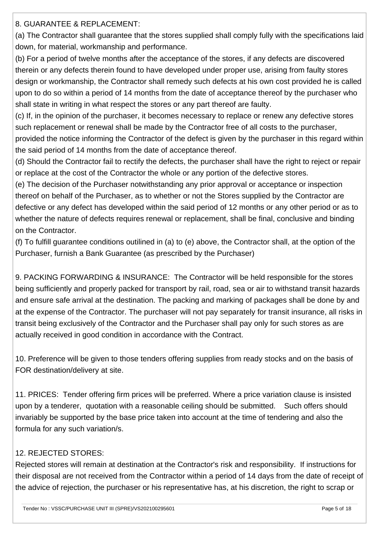8. GUARANTEE & REPLACEMENT:

(a) The Contractor shall guarantee that the stores supplied shall comply fully with the specifications laid down, for material, workmanship and performance.

(b) For a period of twelve months after the acceptance of the stores, if any defects are discovered therein or any defects therein found to have developed under proper use, arising from faulty stores design or workmanship, the Contractor shall remedy such defects at his own cost provided he is called upon to do so within a period of 14 months from the date of acceptance thereof by the purchaser who shall state in writing in what respect the stores or any part thereof are faulty.

(c) If, in the opinion of the purchaser, it becomes necessary to replace or renew any defective stores such replacement or renewal shall be made by the Contractor free of all costs to the purchaser,

provided the notice informing the Contractor of the defect is given by the purchaser in this regard within the said period of 14 months from the date of acceptance thereof.

(d) Should the Contractor fail to rectify the defects, the purchaser shall have the right to reject or repair or replace at the cost of the Contractor the whole or any portion of the defective stores.

(e) The decision of the Purchaser notwithstanding any prior approval or acceptance or inspection thereof on behalf of the Purchaser, as to whether or not the Stores supplied by the Contractor are defective or any defect has developed within the said period of 12 months or any other period or as to whether the nature of defects requires renewal or replacement, shall be final, conclusive and binding on the Contractor.

(f) To fulfill guarantee conditions outilined in (a) to (e) above, the Contractor shall, at the option of the Purchaser, furnish a Bank Guarantee (as prescribed by the Purchaser)

9. PACKING FORWARDING & INSURANCE: The Contractor will be held responsible for the stores being sufficiently and properly packed for transport by rail, road, sea or air to withstand transit hazards and ensure safe arrival at the destination. The packing and marking of packages shall be done by and at the expense of the Contractor. The purchaser will not pay separately for transit insurance, all risks in transit being exclusively of the Contractor and the Purchaser shall pay only for such stores as are actually received in good condition in accordance with the Contract.

10. Preference will be given to those tenders offering supplies from ready stocks and on the basis of FOR destination/delivery at site.

11. PRICES: Tender offering firm prices will be preferred. Where a price variation clause is insisted upon by a tenderer, quotation with a reasonable ceiling should be submitted. Such offers should invariably be supported by the base price taken into account at the time of tendering and also the formula for any such variation/s.

## 12. REJECTED STORES:

Rejected stores will remain at destination at the Contractor's risk and responsibility. If instructions for their disposal are not received from the Contractor within a period of 14 days from the date of receipt of the advice of rejection, the purchaser or his representative has, at his discretion, the right to scrap or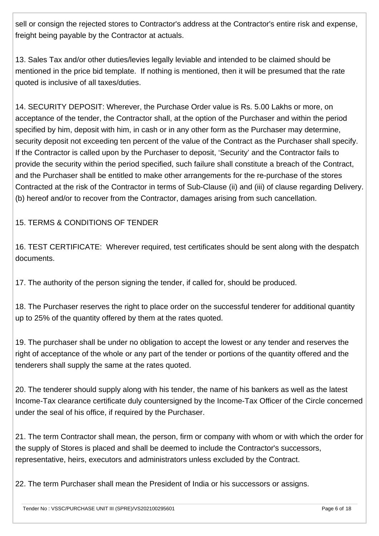sell or consign the rejected stores to Contractor's address at the Contractor's entire risk and expense, freight being payable by the Contractor at actuals.

13. Sales Tax and/or other duties/levies legally leviable and intended to be claimed should be mentioned in the price bid template. If nothing is mentioned, then it will be presumed that the rate quoted is inclusive of all taxes/duties.

14. SECURITY DEPOSIT: Wherever, the Purchase Order value is Rs. 5.00 Lakhs or more, on acceptance of the tender, the Contractor shall, at the option of the Purchaser and within the period specified by him, deposit with him, in cash or in any other form as the Purchaser may determine, security deposit not exceeding ten percent of the value of the Contract as the Purchaser shall specify. If the Contractor is called upon by the Purchaser to deposit, 'Security' and the Contractor fails to provide the security within the period specified, such failure shall constitute a breach of the Contract, and the Purchaser shall be entitled to make other arrangements for the re-purchase of the stores Contracted at the risk of the Contractor in terms of Sub-Clause (ii) and (iii) of clause regarding Delivery. (b) hereof and/or to recover from the Contractor, damages arising from such cancellation.

15. TERMS & CONDITIONS OF TENDER

16. TEST CERTIFICATE: Wherever required, test certificates should be sent along with the despatch documents.

17. The authority of the person signing the tender, if called for, should be produced.

18. The Purchaser reserves the right to place order on the successful tenderer for additional quantity up to 25% of the quantity offered by them at the rates quoted.

19. The purchaser shall be under no obligation to accept the lowest or any tender and reserves the right of acceptance of the whole or any part of the tender or portions of the quantity offered and the tenderers shall supply the same at the rates quoted.

20. The tenderer should supply along with his tender, the name of his bankers as well as the latest Income-Tax clearance certificate duly countersigned by the Income-Tax Officer of the Circle concerned under the seal of his office, if required by the Purchaser.

21. The term Contractor shall mean, the person, firm or company with whom or with which the order for the supply of Stores is placed and shall be deemed to include the Contractor's successors, representative, heirs, executors and administrators unless excluded by the Contract.

22. The term Purchaser shall mean the President of India or his successors or assigns.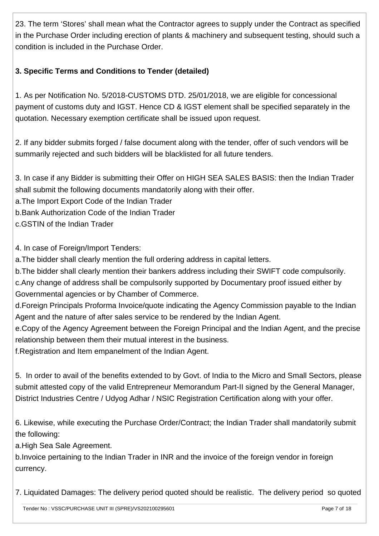23. The term 'Stores' shall mean what the Contractor agrees to supply under the Contract as specified in the Purchase Order including erection of plants & machinery and subsequent testing, should such a condition is included in the Purchase Order.

## **3. Specific Terms and Conditions to Tender (detailed)**

1. As per Notification No. 5/2018-CUSTOMS DTD. 25/01/2018, we are eligible for concessional payment of customs duty and IGST. Hence CD & IGST element shall be specified separately in the quotation. Necessary exemption certificate shall be issued upon request.

2. If any bidder submits forged / false document along with the tender, offer of such vendors will be summarily rejected and such bidders will be blacklisted for all future tenders.

3. In case if any Bidder is submitting their Offer on HIGH SEA SALES BASIS: then the Indian Trader shall submit the following documents mandatorily along with their offer.

a.The Import Export Code of the Indian Trader

b.Bank Authorization Code of the Indian Trader

c.GSTIN of the Indian Trader

4. In case of Foreign/Import Tenders:

a.The bidder shall clearly mention the full ordering address in capital letters.

b.The bidder shall clearly mention their bankers address including their SWIFT code compulsorily. c.Any change of address shall be compulsorily supported by Documentary proof issued either by Governmental agencies or by Chamber of Commerce.

d.Foreign Principals Proforma Invoice/quote indicating the Agency Commission payable to the Indian Agent and the nature of after sales service to be rendered by the Indian Agent.

e.Copy of the Agency Agreement between the Foreign Principal and the Indian Agent, and the precise relationship between them their mutual interest in the business.

f.Registration and Item empanelment of the Indian Agent.

5. In order to avail of the benefits extended to by Govt. of India to the Micro and Small Sectors, please submit attested copy of the valid Entrepreneur Memorandum Part-II signed by the General Manager, District Industries Centre / Udyog Adhar / NSIC Registration Certification along with your offer.

6. Likewise, while executing the Purchase Order/Contract; the Indian Trader shall mandatorily submit the following:

a.High Sea Sale Agreement.

b.Invoice pertaining to the Indian Trader in INR and the invoice of the foreign vendor in foreign currency.

7. Liquidated Damages: The delivery period quoted should be realistic. The delivery period so quoted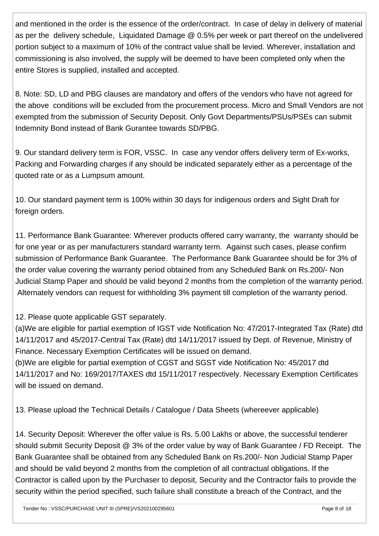and mentioned in the order is the essence of the order/contract. In case of delay in delivery of material as per the delivery schedule, Liquidated Damage @ 0.5% per week or part thereof on the undelivered portion subject to a maximum of 10% of the contract value shall be levied. Wherever, installation and commissioning is also involved, the supply will be deemed to have been completed only when the entire Stores is supplied, installed and accepted.

8. Note: SD, LD and PBG clauses are mandatory and offers of the vendors who have not agreed for the above conditions will be excluded from the procurement process. Micro and Small Vendors are not exempted from the submission of Security Deposit. Only Govt Departments/PSUs/PSEs can submit Indemnity Bond instead of Bank Gurantee towards SD/PBG.

9. Our standard delivery term is FOR, VSSC. In case any vendor offers delivery term of Ex-works, Packing and Forwarding charges if any should be indicated separately either as a percentage of the quoted rate or as a Lumpsum amount.

10. Our standard payment term is 100% within 30 days for indigenous orders and Sight Draft for foreign orders.

11. Performance Bank Guarantee: Wherever products offered carry warranty, the warranty should be for one year or as per manufacturers standard warranty term. Against such cases, please confirm submission of Performance Bank Guarantee. The Performance Bank Guarantee should be for 3% of the order value covering the warranty period obtained from any Scheduled Bank on Rs.200/- Non Judicial Stamp Paper and should be valid beyond 2 months from the completion of the warranty period. Alternately vendors can request for withholding 3% payment till completion of the warranty period.

## 12. Please quote applicable GST separately.

(a)We are eligible for partial exemption of IGST vide Notification No: 47/2017-Integrated Tax (Rate) dtd 14/11/2017 and 45/2017-Central Tax (Rate) dtd 14/11/2017 issued by Dept. of Revenue, Ministry of Finance. Necessary Exemption Certificates will be issued on demand.

(b)We are eligible for partial exemption of CGST and SGST vide Notification No: 45/2017 dtd 14/11/2017 and No: 169/2017/TAXES dtd 15/11/2017 respectively. Necessary Exemption Certificates will be issued on demand.

13. Please upload the Technical Details / Catalogue / Data Sheets (whereever applicable)

14. Security Deposit: Wherever the offer value is Rs. 5.00 Lakhs or above, the successful tenderer should submit Security Deposit @ 3% of the order value by way of Bank Guarantee / FD Receipt. The Bank Guarantee shall be obtained from any Scheduled Bank on Rs.200/- Non Judicial Stamp Paper and should be valid beyond 2 months from the completion of all contractual obligations. If the Contractor is called upon by the Purchaser to deposit, Security and the Contractor fails to provide the security within the period specified, such failure shall constitute a breach of the Contract, and the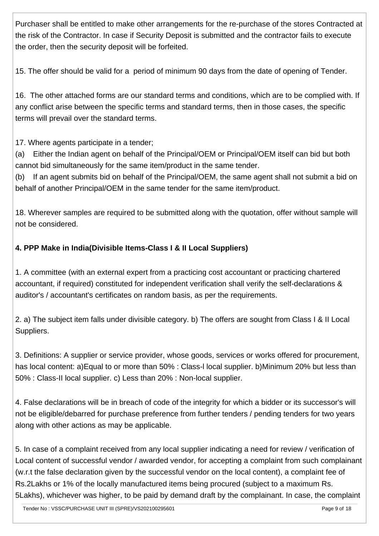Purchaser shall be entitled to make other arrangements for the re-purchase of the stores Contracted at the risk of the Contractor. In case if Security Deposit is submitted and the contractor fails to execute the order, then the security deposit will be forfeited.

15. The offer should be valid for a period of minimum 90 days from the date of opening of Tender.

16. The other attached forms are our standard terms and conditions, which are to be complied with. If any conflict arise between the specific terms and standard terms, then in those cases, the specific terms will prevail over the standard terms.

17. Where agents participate in a tender;

(a) Either the Indian agent on behalf of the Principal/OEM or Principal/OEM itself can bid but both cannot bid simultaneously for the same item/product in the same tender.

(b) If an agent submits bid on behalf of the Principal/OEM, the same agent shall not submit a bid on behalf of another Principal/OEM in the same tender for the same item/product.

18. Wherever samples are required to be submitted along with the quotation, offer without sample will not be considered.

## **4. PPP Make in India(Divisible Items-Class I & II Local Suppliers)**

1. A committee (with an external expert from a practicing cost accountant or practicing chartered accountant, if required) constituted for independent verification shall verify the self-declarations & auditor's / accountant's certificates on random basis, as per the requirements.

2. a) The subject item falls under divisible category. b) The offers are sought from Class I & II Local Suppliers.

3. Definitions: A supplier or service provider, whose goods, services or works offered for procurement, has local content: a)Equal to or more than 50% : Class-l local supplier. b)Minimum 20% but less than 50% : Class-II local supplier. c) Less than 20% : Non-local supplier.

4. False declarations will be in breach of code of the integrity for which a bidder or its successor's will not be eligible/debarred for purchase preference from further tenders / pending tenders for two years along with other actions as may be applicable.

5. In case of a complaint received from any local supplier indicating a need for review / verification of Local content of successful vendor / awarded vendor, for accepting a complaint from such complainant (w.r.t the false declaration given by the successful vendor on the local content), a complaint fee of Rs.2Lakhs or 1% of the locally manufactured items being procured (subject to a maximum Rs. 5Lakhs), whichever was higher, to be paid by demand draft by the complainant. In case, the complaint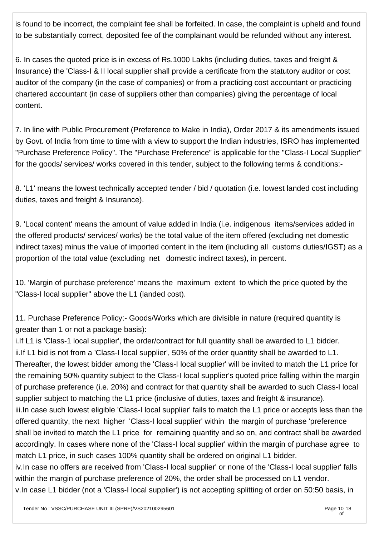is found to be incorrect, the complaint fee shall be forfeited. In case, the complaint is upheld and found to be substantially correct, deposited fee of the complainant would be refunded without any interest.

6. In cases the quoted price is in excess of Rs.1000 Lakhs (including duties, taxes and freight & Insurance) the 'Class-I & II local supplier shall provide a certificate from the statutory auditor or cost auditor of the company (in the case of companies) or from a practicing cost accountant or practicing chartered accountant (in case of suppliers other than companies) giving the percentage of local content.

7. In line with Public Procurement (Preference to Make in India), Order 2017 & its amendments issued by Govt. of India from time to time with a view to support the Indian industries, ISRO has implemented "Purchase Preference Policy". The "Purchase Preference" is applicable for the "Class-I Local Supplier" for the goods/ services/ works covered in this tender, subject to the following terms & conditions:-

8. 'L1' means the lowest technically accepted tender / bid / quotation (i.e. lowest landed cost including duties, taxes and freight & Insurance).

9. 'Local content' means the amount of value added in India (i.e. indigenous items/services added in the offered products/ services/ works) be the total value of the item offered (excluding net domestic indirect taxes) minus the value of imported content in the item (including all customs duties/IGST) as a proportion of the total value (excluding net domestic indirect taxes), in percent.

10. 'Margin of purchase preference' means the maximum extent to which the price quoted by the "Class-I local supplier" above the L1 (landed cost).

11. Purchase Preference Policy:- Goods/Works which are divisible in nature (required quantity is greater than 1 or not a package basis):

i.If L1 is 'Class-1 local supplier', the order/contract for full quantity shall be awarded to L1 bidder. ii.If L1 bid is not from a 'Class-I local supplier', 50% of the order quantity shall be awarded to L1. Thereafter, the lowest bidder among the 'Class-I local supplier' will be invited to match the L1 price for the remaining 50% quantity subject to the Class-I local supplier's quoted price falling within the margin of purchase preference (i.e. 20%) and contract for that quantity shall be awarded to such Class-I local supplier subject to matching the L1 price (inclusive of duties, taxes and freight & insurance). iii.In case such lowest eligible 'Class-I local supplier' fails to match the L1 price or accepts less than the offered quantity, the next higher 'Class-I local supplier' within the margin of purchase 'preference shall be invited to match the L1 price for remaining quantity and so on, and contract shall be awarded accordingly. In cases where none of the 'Class-I local supplier' within the margin of purchase agree to match L1 price, in such cases 100% quantity shall be ordered on original L1 bidder. iv.In case no offers are received from 'Class-I local supplier' or none of the 'Class-I local supplier' falls within the margin of purchase preference of 20%, the order shall be processed on L1 vendor.

v.In case L1 bidder (not a 'Class-I local supplier') is not accepting splitting of order on 50:50 basis, in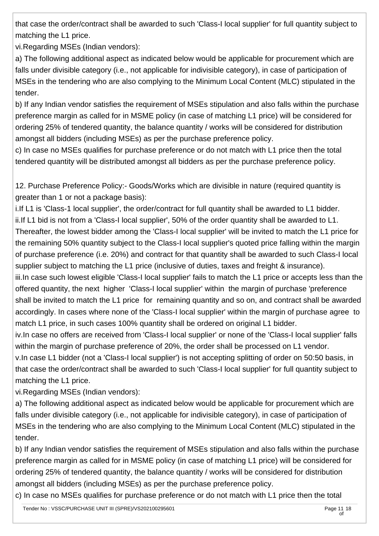that case the order/contract shall be awarded to such 'Class-I local supplier' for full quantity subject to matching the L1 price.

vi.Regarding MSEs (Indian vendors):

a) The following additional aspect as indicated below would be applicable for procurement which are falls under divisible category (i.e., not applicable for indivisible category), in case of participation of MSEs in the tendering who are also complying to the Minimum Local Content (MLC) stipulated in the tender.

b) If any Indian vendor satisfies the requirement of MSEs stipulation and also falls within the purchase preference margin as called for in MSME policy (in case of matching L1 price) will be considered for ordering 25% of tendered quantity, the balance quantity / works will be considered for distribution amongst all bidders (including MSEs) as per the purchase preference policy.

c) In case no MSEs qualifies for purchase preference or do not match with L1 price then the total tendered quantity will be distributed amongst all bidders as per the purchase preference policy.

12. Purchase Preference Policy:- Goods/Works which are divisible in nature (required quantity is greater than 1 or not a package basis):

i.If L1 is 'Class-1 local supplier', the order/contract for full quantity shall be awarded to L1 bidder. ii.If L1 bid is not from a 'Class-I local supplier', 50% of the order quantity shall be awarded to L1. Thereafter, the lowest bidder among the 'Class-I local supplier' will be invited to match the L1 price for the remaining 50% quantity subject to the Class-I local supplier's quoted price falling within the margin of purchase preference (i.e. 20%) and contract for that quantity shall be awarded to such Class-I local supplier subject to matching the L1 price (inclusive of duties, taxes and freight & insurance).

iii.In case such lowest eligible 'Class-I local supplier' fails to match the L1 price or accepts less than the offered quantity, the next higher 'Class-I local supplier' within the margin of purchase 'preference shall be invited to match the L1 price for remaining quantity and so on, and contract shall be awarded accordingly. In cases where none of the 'Class-I local supplier' within the margin of purchase agree to match L1 price, in such cases 100% quantity shall be ordered on original L1 bidder.

iv.In case no offers are received from 'Class-I local supplier' or none of the 'Class-I local supplier' falls within the margin of purchase preference of 20%, the order shall be processed on L1 vendor.

v.In case L1 bidder (not a 'Class-I local supplier') is not accepting splitting of order on 50:50 basis, in that case the order/contract shall be awarded to such 'Class-I local supplier' for full quantity subject to matching the L1 price.

vi.Regarding MSEs (Indian vendors):

a) The following additional aspect as indicated below would be applicable for procurement which are falls under divisible category (i.e., not applicable for indivisible category), in case of participation of MSEs in the tendering who are also complying to the Minimum Local Content (MLC) stipulated in the tender.

b) If any Indian vendor satisfies the requirement of MSEs stipulation and also falls within the purchase preference margin as called for in MSME policy (in case of matching L1 price) will be considered for ordering 25% of tendered quantity, the balance quantity / works will be considered for distribution amongst all bidders (including MSEs) as per the purchase preference policy.

c) In case no MSEs qualifies for purchase preference or do not match with L1 price then the total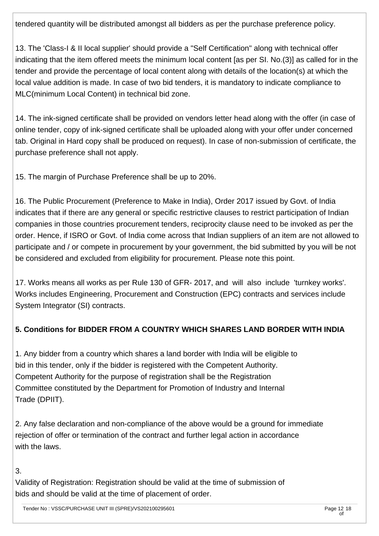tendered quantity will be distributed amongst all bidders as per the purchase preference policy.

13. The 'Class-I & II local supplier' should provide a "Self Certification" along with technical offer indicating that the item offered meets the minimum local content [as per SI. No.(3)] as called for in the tender and provide the percentage of local content along with details of the location(s) at which the local value addition is made. In case of two bid tenders, it is mandatory to indicate compliance to MLC(minimum Local Content) in technical bid zone.

14. The ink-signed certificate shall be provided on vendors letter head along with the offer (in case of online tender, copy of ink-signed certificate shall be uploaded along with your offer under concerned tab. Original in Hard copy shall be produced on request). In case of non-submission of certificate, the purchase preference shall not apply.

15. The margin of Purchase Preference shall be up to 20%.

16. The Public Procurement (Preference to Make in India), Order 2017 issued by Govt. of India indicates that if there are any general or specific restrictive clauses to restrict participation of Indian companies in those countries procurement tenders, reciprocity clause need to be invoked as per the order. Hence, if ISRO or Govt. of India come across that Indian suppliers of an item are not allowed to participate and / or compete in procurement by your government, the bid submitted by you will be not be considered and excluded from eligibility for procurement. Please note this point.

17. Works means all works as per Rule 130 of GFR- 2017, and will also include 'turnkey works'. Works includes Engineering, Procurement and Construction (EPC) contracts and services include System Integrator (SI) contracts.

## **5. Conditions for BIDDER FROM A COUNTRY WHICH SHARES LAND BORDER WITH INDIA**

1. Any bidder from a country which shares a land border with India will be eligible to bid in this tender, only if the bidder is registered with the Competent Authority. Competent Authority for the purpose of registration shall be the Registration Committee constituted by the Department for Promotion of Industry and Internal Trade (DPIIT).

2. Any false declaration and non-compliance of the above would be a ground for immediate rejection of offer or termination of the contract and further legal action in accordance with the laws.

3.

Validity of Registration: Registration should be valid at the time of submission of bids and should be valid at the time of placement of order.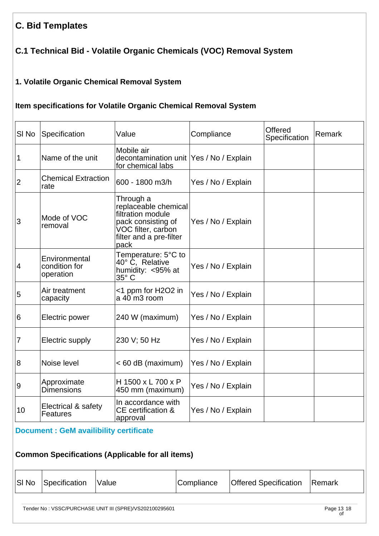# **C. Bid Templates**

# **C.1 Technical Bid - Volatile Organic Chemicals (VOC) Removal System**

## **1. Volatile Organic Chemical Removal System**

## **Item specifications for Volatile Organic Chemical Removal System**

| SI <sub>No</sub> | Specification                               | Value                                                                                                                                 | Compliance         | Offered<br>Specification | Remark |
|------------------|---------------------------------------------|---------------------------------------------------------------------------------------------------------------------------------------|--------------------|--------------------------|--------|
| 1                | Name of the unit                            | Mobile air<br>decontamination unit Yes / No / Explain<br>for chemical labs                                                            |                    |                          |        |
| $ 2\rangle$      | <b>Chemical Extraction</b><br>rate          | 600 - 1800 m3/h                                                                                                                       | Yes / No / Explain |                          |        |
| 3                | Mode of VOC<br>removal                      | Through a<br>replaceable chemical<br>filtration module<br>pack consisting of<br>VOC filter, carbon<br>filter and a pre-filter<br>pack | Yes / No / Explain |                          |        |
| $\overline{4}$   | Environmental<br>condition for<br>operation | Temperature: 5°C to<br>40° C, Relative<br>humidity: <95% at<br>35° C                                                                  | Yes / No / Explain |                          |        |
| 5                | Air treatment<br>capacity                   | <1 ppm for H2O2 in<br>$a$ 40 m3 room                                                                                                  | Yes / No / Explain |                          |        |
| 6                | Electric power                              | 240 W (maximum)                                                                                                                       | Yes / No / Explain |                          |        |
| $\overline{7}$   | Electric supply                             | 230 V; 50 Hz                                                                                                                          | Yes / No / Explain |                          |        |
| $\overline{8}$   | Noise level                                 | < 60 dB (maximum)                                                                                                                     | Yes / No / Explain |                          |        |
| $\overline{9}$   | Approximate<br><b>Dimensions</b>            | H 1500 x L 700 x P<br>450 mm (maximum)                                                                                                | Yes / No / Explain |                          |        |
| 10               | Electrical & safety<br>Features             | In accordance with<br><b>CE</b> certification &<br>approval                                                                           | Yes / No / Explain |                          |        |

## **[Document : GeM availibility certificate](https://eproc.isro.gov.in/common/viewDocument?id=ff8080817c110339017c1263f8b90d07&indentId=VS2021002956)**

## **Common Specifications (Applicable for all items)**

| Specification<br>SI No<br><b>Offered Specification</b><br>Compliance<br><b>Remark</b><br><b>Value</b> |  |
|-------------------------------------------------------------------------------------------------------|--|
|-------------------------------------------------------------------------------------------------------|--|

Tender No : VSSC/PURCHASE UNIT III (SPRE)/VS202100295601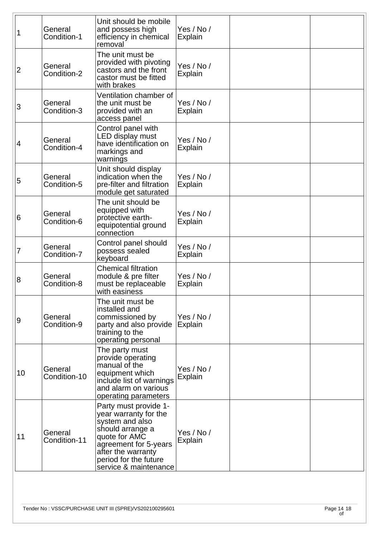| 1  | General<br>Condition-1  | Unit should be mobile<br>and possess high<br>efficiency in chemical<br>removal                                                                                                                          | Yes / No /<br><b>Explain</b> |  |
|----|-------------------------|---------------------------------------------------------------------------------------------------------------------------------------------------------------------------------------------------------|------------------------------|--|
| 2  | General<br>Condition-2  | The unit must be<br>provided with pivoting<br>castors and the front<br>castor must be fitted<br>with brakes                                                                                             | Yes / No /<br><b>Explain</b> |  |
| 3  | General<br>Condition-3  | Ventilation chamber of<br>the unit must be<br>provided with an<br>access panel                                                                                                                          | Yes / No /<br><b>Explain</b> |  |
| 4  | General<br>Condition-4  | Control panel with<br>LED display must<br>have identification on<br>markings and<br>warnings                                                                                                            | Yes / No /<br>Explain        |  |
| 5  | General<br>Condition-5  | Unit should display<br>indication when the<br>pre-filter and filtration<br>module get saturated                                                                                                         | Yes / No /<br>Explain        |  |
| 6  | General<br>Condition-6  | The unit should be<br>equipped with<br>protective earth-<br>equipotential ground<br>connection                                                                                                          | Yes / No /<br><b>Explain</b> |  |
| 7  | General<br>Condition-7  | Control panel should<br>possess sealed<br>keyboard                                                                                                                                                      | Yes / No /<br><b>Explain</b> |  |
| 8  | General<br>Condition-8  | <b>Chemical filtration</b><br>module & pre filter<br>must be replaceable<br>with easiness                                                                                                               | Yes / No /<br><b>Explain</b> |  |
| 9  | General<br>Condition-9  | The unit must be<br>installed and<br>commissioned by<br>party and also provide<br>training to the<br>operating personal                                                                                 | Yes / No /<br>Explain        |  |
| 10 | General<br>Condition-10 | The party must<br>provide operating<br>manual of the<br>equipment which<br>include list of warnings<br>and alarm on various<br>operating parameters                                                     | Yes / No /<br>Explain        |  |
| 11 | General<br>Condition-11 | Party must provide 1-<br>year warranty for the<br>system and also<br>should arrange a<br>quote for AMC<br>agreement for 5-years<br>after the warranty<br>period for the future<br>service & maintenance | Yes / No /<br><b>Explain</b> |  |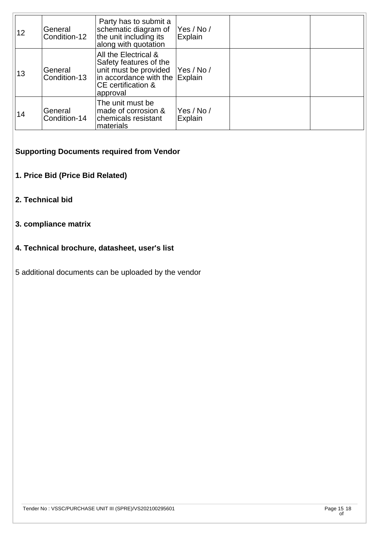| 12 | General<br>Condition-12 | Party has to submit a<br>schematic diagram of<br>the unit including its<br>along with quotation                                             | Yes / No /<br>Explain |  |
|----|-------------------------|---------------------------------------------------------------------------------------------------------------------------------------------|-----------------------|--|
| 13 | General<br>Condition-13 | All the Electrical &<br>Safety features of the<br>unit must be provided<br>in accordance with the Explain<br>CE certification &<br>approval | Yes / No /            |  |
| 14 | General<br>Condition-14 | The unit must be<br>made of corrosion &<br>chemicals resistant<br>materials                                                                 | Yes / No /<br>Explain |  |

## **Supporting Documents required from Vendor**

- **1. Price Bid (Price Bid Related)**
- **2. Technical bid**

## **3. compliance matrix**

#### **4. Technical brochure, datasheet, user's list**

5 additional documents can be uploaded by the vendor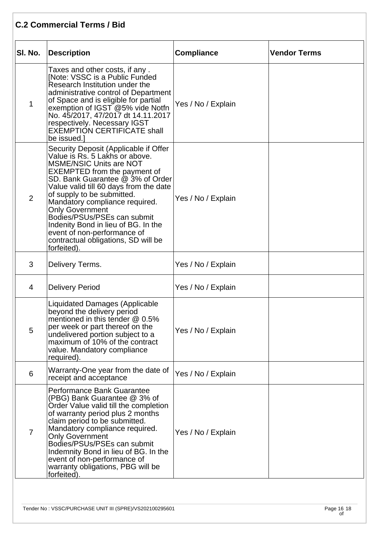## **C.2 Commercial Terms / Bid**

| SI. No.        | <b>Description</b>                                                                                                                                                                                                                                                                                                                                                                                                                                                                  | <b>Compliance</b>  | <b>Vendor Terms</b> |
|----------------|-------------------------------------------------------------------------------------------------------------------------------------------------------------------------------------------------------------------------------------------------------------------------------------------------------------------------------------------------------------------------------------------------------------------------------------------------------------------------------------|--------------------|---------------------|
| $\mathbf 1$    | Taxes and other costs, if any.<br>[Note: VSSC is a Public Funded<br>Research Institution under the<br>administrative control of Department<br>of Space and is eligible for partial<br>exemption of IGST @5% vide Notfn<br>No. 45/2017, 47/2017 dt 14.11.2017<br>respectively. Necessary IGST<br>EXEMPTIÓN CERTIFICATE shall<br>be issued.]                                                                                                                                          | Yes / No / Explain |                     |
| $\overline{2}$ | Security Deposit (Applicable if Offer<br>Value is Rs. 5 Lakhs or above.<br><b>MSME/NSIC Units are NOT</b><br><b>EXEMPTED</b> from the payment of<br>SD. Bank Guarantee @ 3% of Order<br>Value valid till 60 days from the date<br>of supply to be submitted.<br>Mandatory compliance required.<br><b>Only Government</b><br>Bodies/PSUs/PSEs can submit<br>Indenity Bond in lieu of BG. In the<br>event of non-performance of<br>contractual obligations, SD will be<br>forfeited). | Yes / No / Explain |                     |
| 3              | Delivery Terms.                                                                                                                                                                                                                                                                                                                                                                                                                                                                     | Yes / No / Explain |                     |
| 4              | <b>Delivery Period</b>                                                                                                                                                                                                                                                                                                                                                                                                                                                              | Yes / No / Explain |                     |
| 5              | <b>Liquidated Damages (Applicable</b><br>beyond the delivery period<br>mentioned in this tender @ 0.5%<br>per week or part thereof on the<br>undelivered portion subject to a<br>maximum of 10% of the contract<br>value. Mandatory compliance<br>required).                                                                                                                                                                                                                        | Yes / No / Explain |                     |
| 6              | Warranty-One year from the date of<br>receipt and acceptance                                                                                                                                                                                                                                                                                                                                                                                                                        | Yes / No / Explain |                     |
| $\overline{7}$ | Performance Bank Guarantee<br>(PBG) Bank Guarantee @ 3% of<br>Order Value valid till the completion<br>of warranty period plus 2 months<br>claim period to be submitted.<br>Mandatory compliance required.<br><b>Only Government</b><br>Bodies/PSUs/PSEs can submit<br>Indemnity Bond in lieu of BG. In the<br>event of non-performance of<br>warranty obligations, PBG will be<br>forfeited).                                                                                      | Yes / No / Explain |                     |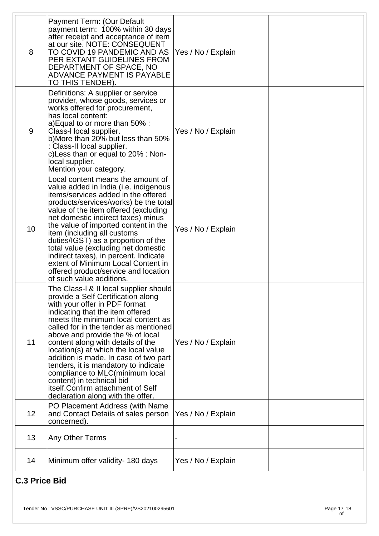|                      | Payment Term: (Our Default                                                                                                                                                                                                                                                                                                                                                                                                                                                                                                                                                    |                    |  |  |
|----------------------|-------------------------------------------------------------------------------------------------------------------------------------------------------------------------------------------------------------------------------------------------------------------------------------------------------------------------------------------------------------------------------------------------------------------------------------------------------------------------------------------------------------------------------------------------------------------------------|--------------------|--|--|
| 8                    | payment term: 100% within 30 days<br>after receipt and acceptance of item<br>at our site. NOTE: CONSEQUENT<br>TO COVID 19 PANDEMIC AND AS<br>PER EXTANT GUIDELINES FROM<br>DEPARTMENT OF SPACE, NO<br>ADVANCE PAYMENT IS PAYABLE<br>TO THIS TENDER).                                                                                                                                                                                                                                                                                                                          | Yes / No / Explain |  |  |
| 9                    | Definitions: A supplier or service<br>provider, whose goods, services or<br>works offered for procurement,<br>has local content:<br>a) Equal to or more than 50%:<br>Class-I local supplier.<br>b)More than 20% but less than 50%<br>Class-II local supplier.<br>c) Less than or equal to 20% : Non-<br>local supplier.<br>Mention your category.                                                                                                                                                                                                                             | Yes / No / Explain |  |  |
| 10                   | Local content means the amount of<br>value added in India (i.e. indigenous<br>items/services added in the offered<br>products/services/works) be the total<br>value of the item offered (excluding<br>net domestic indirect taxes) minus<br>the value of imported content in the<br>item (including all customs<br>duties/IGST) as a proportion of the<br>total value (excluding net domestic<br>indirect taxes), in percent. Indicate<br>extent of Minimum Local Content in<br>offered product/service and location<br>of such value additions.                              | Yes / No / Explain |  |  |
| 11                   | The Class-I & II local supplier should<br>provide a Self Certification along<br>with your offer in PDF format<br>indicating that the item offered<br>meets the minimum local content as<br>called for in the tender as mentioned<br>above and provide the % of local<br>content along with details of the<br>location(s) at which the local value<br>addition is made. In case of two part<br>tenders, it is mandatory to indicate<br>compliance to MLC(minimum local<br>content) in technical bid<br>itself. Confirm attachment of Self<br>declaration along with the offer. | Yes / No / Explain |  |  |
| 12 <sub>2</sub>      | PO Placement Address (with Name<br>and Contact Details of sales person<br>concerned)                                                                                                                                                                                                                                                                                                                                                                                                                                                                                          | Yes / No / Explain |  |  |
| 13                   | Any Other Terms                                                                                                                                                                                                                                                                                                                                                                                                                                                                                                                                                               |                    |  |  |
| 14                   | Minimum offer validity- 180 days                                                                                                                                                                                                                                                                                                                                                                                                                                                                                                                                              | Yes / No / Explain |  |  |
| <b>C.3 Price Bid</b> |                                                                                                                                                                                                                                                                                                                                                                                                                                                                                                                                                                               |                    |  |  |

## **C.3 Price Bid**